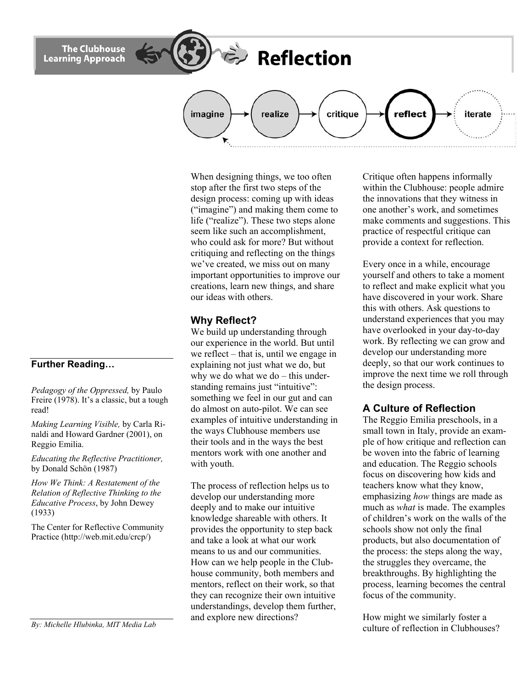**Further Reading…** 

*Pedagogy of the Oppressed,* by Paulo Freire (1978). It's a classic, but a tough read!

*Making Learning Visible,* by Carla Rinaldi and Howard Gardner (2001), on Reggio Emilia.

*Educating the Reflective Practitioner,* by Donald Schön (1987)

*How We Think: A Restatement of the Relation of Reflective Thinking to the Educative Process*, by John Dewey (1933)

The Center for Reflective Community Practice (http://web.mit.edu/crcp/)

*By: Michelle Hlubinka, MIT Media Lab* 

When designing things, we too often stop after the first two steps of the design process: coming up with ideas ("imagine") and making them come to life ("realize"). These two steps alone seem like such an accomplishment, who could ask for more? But without critiquing and reflecting on the things we've created, we miss out on many important opportunities to improve our creations, learn new things, and share our ideas with others.

realize

**Reflection** 

critique

## **Why Reflect?**

imagine

We build up understanding through our experience in the world. But until we reflect – that is, until we engage in explaining not just what we do, but why we do what we do – this understanding remains just "intuitive": something we feel in our gut and can do almost on auto-pilot. We can see examples of intuitive understanding in the ways Clubhouse members use their tools and in the ways the best mentors work with one another and with youth.

The process of reflection helps us to develop our understanding more deeply and to make our intuitive knowledge shareable with others. It provides the opportunity to step back and take a look at what our work means to us and our communities. How can we help people in the Clubhouse community, both members and mentors, reflect on their work, so that they can recognize their own intuitive understandings, develop them further, and explore new directions?

Critique often happens informally within the Clubhouse: people admire the innovations that they witness in one another's work, and sometimes make comments and suggestions. This practice of respectful critique can provide a context for reflection.

iterate

reflect

Every once in a while, encourage yourself and others to take a moment to reflect and make explicit what you have discovered in your work. Share this with others. Ask questions to understand experiences that you may have overlooked in your day-to-day work. By reflecting we can grow and develop our understanding more deeply, so that our work continues to improve the next time we roll through the design process.

## **A Culture of Reflection**

The Reggio Emilia preschools, in a small town in Italy, provide an example of how critique and reflection can be woven into the fabric of learning and education. The Reggio schools focus on discovering how kids and teachers know what they know, emphasizing *how* things are made as much as *what* is made. The examples of children's work on the walls of the schools show not only the final products, but also documentation of the process: the steps along the way, the struggles they overcame, the breakthroughs. By highlighting the process, learning becomes the central focus of the community.

How might we similarly foster a culture of reflection in Clubhouses?